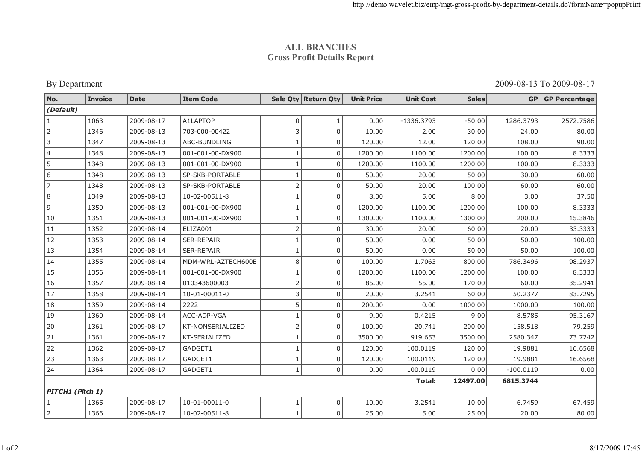## **ALL BRANCHESGross Profit Details Report**

By Department

2009-08-13 To 2009-08-17

| No.                             | <b>Invoice</b> | <b>Date</b> | <b>Item Code</b>   |                | Sale Qty Return Qty | <b>Unit Price</b> | <b>Unit Cost</b> | <b>Sales</b> | <b>GP</b>   | <b>GP Percentage</b> |
|---------------------------------|----------------|-------------|--------------------|----------------|---------------------|-------------------|------------------|--------------|-------------|----------------------|
| (Default)                       |                |             |                    |                |                     |                   |                  |              |             |                      |
| $\mathbf{1}$                    | 1063           | 2009-08-17  | A1LAPTOP           | 0              |                     | 0.00              | $-1336.3793$     | $-50.00$     | 1286.3793   | 2572.7586            |
| $\overline{2}$                  | 1346           | 2009-08-13  | 703-000-00422      | 3              | $\mathbf 0$         | 10.00             | 2.00             | 30.00        | 24.00       | 80.00                |
| 3                               | 1347           | 2009-08-13  | ABC-BUNDLING       | $\mathbf{1}$   | $\mathbf 0$         | 120.00            | 12.00            | 120.00       | 108.00      | 90.00                |
| 4                               | 1348           | 2009-08-13  | 001-001-00-DX900   |                | $\mathbf 0$         | 1200.00           | 1100.00          | 1200.00      | 100.00      | 8.3333               |
| 5                               | 1348           | 2009-08-13  | 001-001-00-DX900   |                | $\mathbf 0$         | 1200.00           | 1100.00          | 1200.00      | 100.00      | 8.3333               |
| 6                               | 1348           | 2009-08-13  | SP-SKB-PORTABLE    | $\mathbf{1}$   | $\boldsymbol{0}$    | 50.00             | 20.00            | 50.00        | 30.00       | 60.00                |
| $\overline{7}$                  | 1348           | 2009-08-13  | SP-SKB-PORTABLE    | $\overline{2}$ | $\Omega$            | 50.00             | 20.00            | 100.00       | 60.00       | 60.00                |
| 8                               | 1349           | 2009-08-13  | 10-02-00511-8      | $\mathbf{1}$   | $\mathbf 0$         | 8.00              | 5.00             | 8.00         | 3.00        | 37.50                |
| $\mathsf g$                     | 1350           | 2009-08-13  | 001-001-00-DX900   | $\mathbf{1}$   | $\mathbf 0$         | 1200.00           | 1100.00          | 1200.00      | 100.00      | 8.3333               |
| 10                              | 1351           | 2009-08-13  | 001-001-00-DX900   | $\mathbf{1}$   | $\Omega$            | 1300.00           | 1100.00          | 1300.00      | 200.00      | 15.3846              |
| 11                              | 1352           | 2009-08-14  | ELIZA001           | $\overline{2}$ | $\Omega$            | 30.00             | 20.00            | 60.00        | 20.00       | 33.3333              |
| 12                              | 1353           | 2009-08-14  | SER-REPAIR         | 1              | $\mathbf 0$         | 50.00             | 0.00             | 50.00        | 50.00       | 100.00               |
| 13                              | 1354           | 2009-08-14  | <b>SER-REPAIR</b>  | 1              | $\Omega$            | 50.00             | 0.00             | 50.00        | 50.00       | 100.00               |
| 14                              | 1355           | 2009-08-14  | MDM-WRL-AZTECH600E | 8              | $\mathbf 0$         | 100.00            | 1.7063           | 800.00       | 786.3496    | 98.2937              |
| 15                              | 1356           | 2009-08-14  | 001-001-00-DX900   | $\mathbf{1}$   | $\mathbf 0$         | 1200.00           | 1100.00          | 1200.00      | 100.00      | 8.3333               |
| 16                              | 1357           | 2009-08-14  | 010343600003       | $\overline{2}$ | $\overline{0}$      | 85.00             | 55.00            | 170.00       | 60.00       | 35.2941              |
| 17                              | 1358           | 2009-08-14  | 10-01-00011-0      | 3              | $\overline{0}$      | 20.00             | 3.2541           | 60.00        | 50.2377     | 83.7295              |
| 18                              | 1359           | 2009-08-14  | 2222               | 5              | $\overline{0}$      | 200.00            | 0.00             | 1000.00      | 1000.00     | 100.00               |
| 19                              | 1360           | 2009-08-14  | ACC-ADP-VGA        | $\mathbf{1}$   | $\mathbf 0$         | 9.00              | 0.4215           | 9.00         | 8.5785      | 95.3167              |
| 20                              | 1361           | 2009-08-17  | KT-NONSERIALIZED   | $\overline{2}$ | $\mathbf 0$         | 100.00            | 20.741           | 200.00       | 158.518     | 79.259               |
| 21                              | 1361           | 2009-08-17  | KT-SERIALIZED      | 1              | $\mathbf 0$         | 3500.00           | 919.653          | 3500.00      | 2580.347    | 73.7242              |
| 22                              | 1362           | 2009-08-17  | GADGET1            | $\mathbf{1}$   | $\Omega$            | 120.00            | 100.0119         | 120.00       | 19.9881     | 16.6568              |
| 23                              | 1363           | 2009-08-17  | GADGET1            | 1              | $\mathbf 0$         | 120.00            | 100.0119         | 120.00       | 19.9881     | 16.6568              |
| 24                              | 1364           | 2009-08-17  | GADGET1            | 1              | $\mathbf 0$         | 0.00              | 100.0119         | 0.00         | $-100.0119$ | 0.00                 |
| Total:<br>12497.00<br>6815.3744 |                |             |                    |                |                     |                   |                  |              |             |                      |
| PITCH1 (Pitch 1)                |                |             |                    |                |                     |                   |                  |              |             |                      |
| 1                               | 1365           | 2009-08-17  | 10-01-00011-0      | 1              | $\mathbf 0$         | 10.00             | 3.2541           | 10.00        | 6.7459      | 67.459               |
| $\overline{2}$                  | 1366           | 2009-08-17  | 10-02-00511-8      | 1              | $\Omega$            | 25.00             | 5.00             | 25.00        | 20.00       | 80.00                |